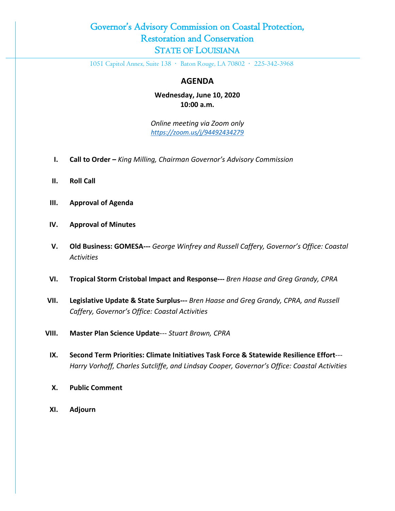## Governor's Advisory Commission on Coastal Protection, Restoration and Conservation STATE OF LOUISIANA

1051 Capitol Annex, Suite 138 · Baton Rouge, LA 70802 · 225-342-3968

## **AGENDA**

**Wednesday, June 10, 2020 10:00 a.m.**

*Online meeting via Zoom only <https://zoom.us/j/94492434279>*

- **I. Call to Order –** *King Milling, Chairman Governor's Advisory Commission*
- **II. Roll Call**
- **III. Approval of Agenda**
- **IV. Approval of Minutes**
- **V. Old Business: GOMESA---** *George Winfrey and Russell Caffery, Governor's Office: Coastal Activities*
- **VI. Tropical Storm Cristobal Impact and Response---** *Bren Haase and Greg Grandy, CPRA*
- **VII. Legislative Update & State Surplus---** *Bren Haase and Greg Grandy, CPRA, and Russell Caffery, Governor's Office: Coastal Activities*
- **VIII. Master Plan Science Update**--- *Stuart Brown, CPRA*
	- **IX. Second Term Priorities: Climate Initiatives Task Force & Statewide Resilience Effort**--- *Harry Vorhoff, Charles Sutcliffe, and Lindsay Cooper, Governor's Office: Coastal Activities*
	- **X. Public Comment**
	- **XI. Adjourn**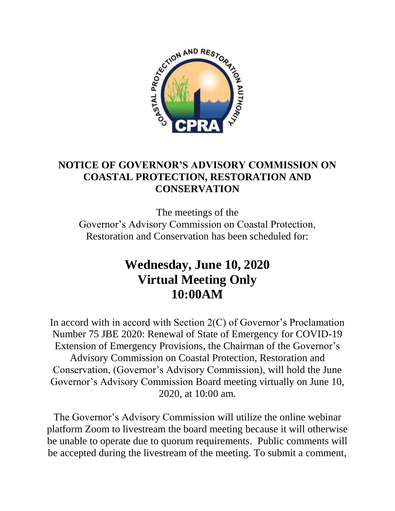

## **NOTICE OF GOVERNOR'S ADVISORY COMMISSION ON COASTAL PROTECTION, RESTORATION AND CONSERVATION**

The meetings of the Governor's Advisory Commission on Coastal Protection, Restoration and Conservation has been scheduled for:

## **Wednesday, June 10, 2020 Virtual Meeting Only 10:00AM**

In accord with in accord with Section 2(C) of Governor's Proclamation Number 75 JBE 2020: Renewal of State of Emergency for COVID-19 Extension of Emergency Provisions, the Chairman of the Governor's Advisory Commission on Coastal Protection, Restoration and Conservation, (Governor's Advisory Commission), will hold the June Governor's Advisory Commission Board meeting virtually on June 10, 2020, at 10:00 am.

The Governor's Advisory Commission will utilize the online webinar platform Zoom to livestream the board meeting because it will otherwise be unable to operate due to quorum requirements. Public comments will be accepted during the livestream of the meeting. To submit a comment,